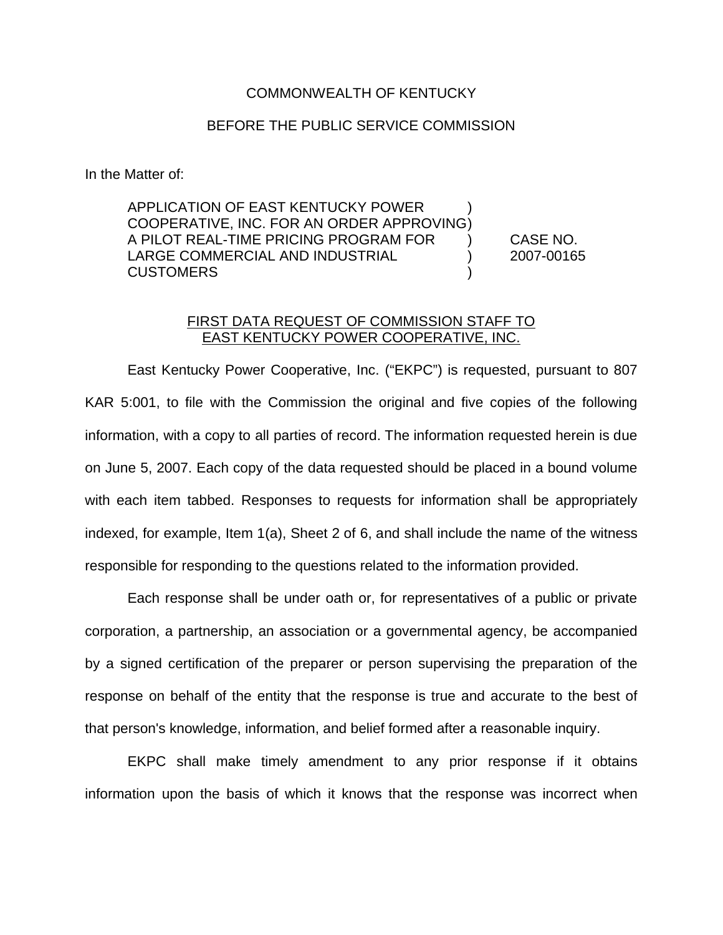## COMMONWEALTH OF KENTUCKY

## BEFORE THE PUBLIC SERVICE COMMISSION

In the Matter of:

APPLICATION OF EAST KENTUCKY POWER ) COOPERATIVE, INC. FOR AN ORDER APPROVING) A PILOT REAL-TIME PRICING PROGRAM FOR ) CASE NO. LARGE COMMERCIAL AND INDUSTRIAL ) 2007-00165 CUSTOMERS )

## FIRST DATA REQUEST OF COMMISSION STAFF TO EAST KENTUCKY POWER COOPERATIVE, INC.

East Kentucky Power Cooperative, Inc. ("EKPC") is requested, pursuant to 807 KAR 5:001, to file with the Commission the original and five copies of the following information, with a copy to all parties of record. The information requested herein is due on June 5, 2007. Each copy of the data requested should be placed in a bound volume with each item tabbed. Responses to requests for information shall be appropriately indexed, for example, Item 1(a), Sheet 2 of 6, and shall include the name of the witness responsible for responding to the questions related to the information provided.

Each response shall be under oath or, for representatives of a public or private corporation, a partnership, an association or a governmental agency, be accompanied by a signed certification of the preparer or person supervising the preparation of the response on behalf of the entity that the response is true and accurate to the best of that person's knowledge, information, and belief formed after a reasonable inquiry.

EKPC shall make timely amendment to any prior response if it obtains information upon the basis of which it knows that the response was incorrect when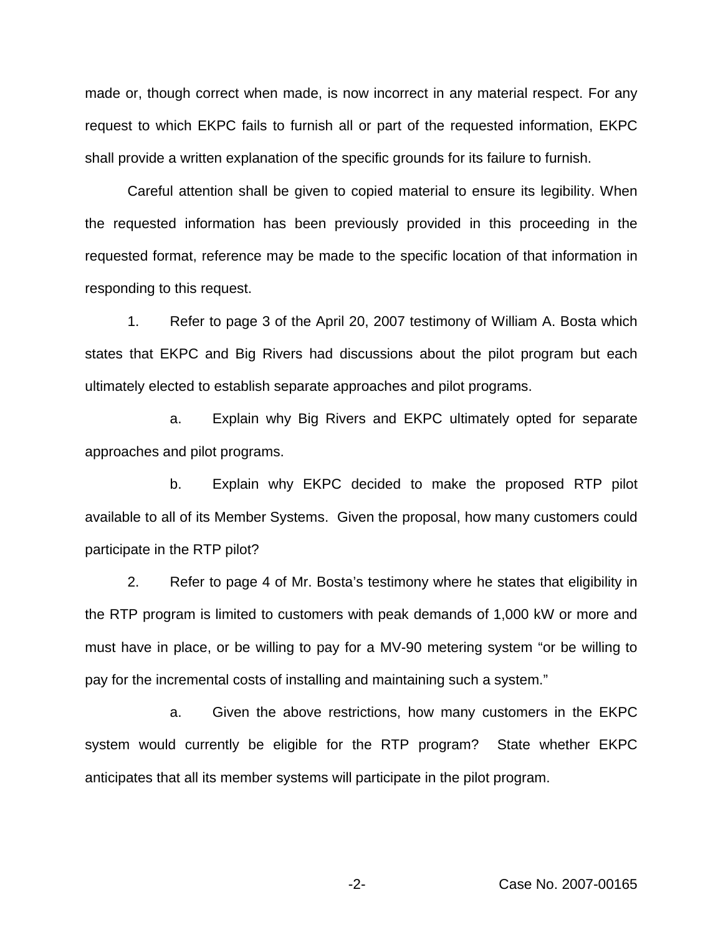made or, though correct when made, is now incorrect in any material respect. For any request to which EKPC fails to furnish all or part of the requested information, EKPC shall provide a written explanation of the specific grounds for its failure to furnish.

Careful attention shall be given to copied material to ensure its legibility. When the requested information has been previously provided in this proceeding in the requested format, reference may be made to the specific location of that information in responding to this request.

1. Refer to page 3 of the April 20, 2007 testimony of William A. Bosta which states that EKPC and Big Rivers had discussions about the pilot program but each ultimately elected to establish separate approaches and pilot programs.

a. Explain why Big Rivers and EKPC ultimately opted for separate approaches and pilot programs.

b. Explain why EKPC decided to make the proposed RTP pilot available to all of its Member Systems. Given the proposal, how many customers could participate in the RTP pilot?

2. Refer to page 4 of Mr. Bosta's testimony where he states that eligibility in the RTP program is limited to customers with peak demands of 1,000 kW or more and must have in place, or be willing to pay for a MV-90 metering system "or be willing to pay for the incremental costs of installing and maintaining such a system."

a. Given the above restrictions, how many customers in the EKPC system would currently be eligible for the RTP program? State whether EKPC anticipates that all its member systems will participate in the pilot program.

-2- Case No. 2007-00165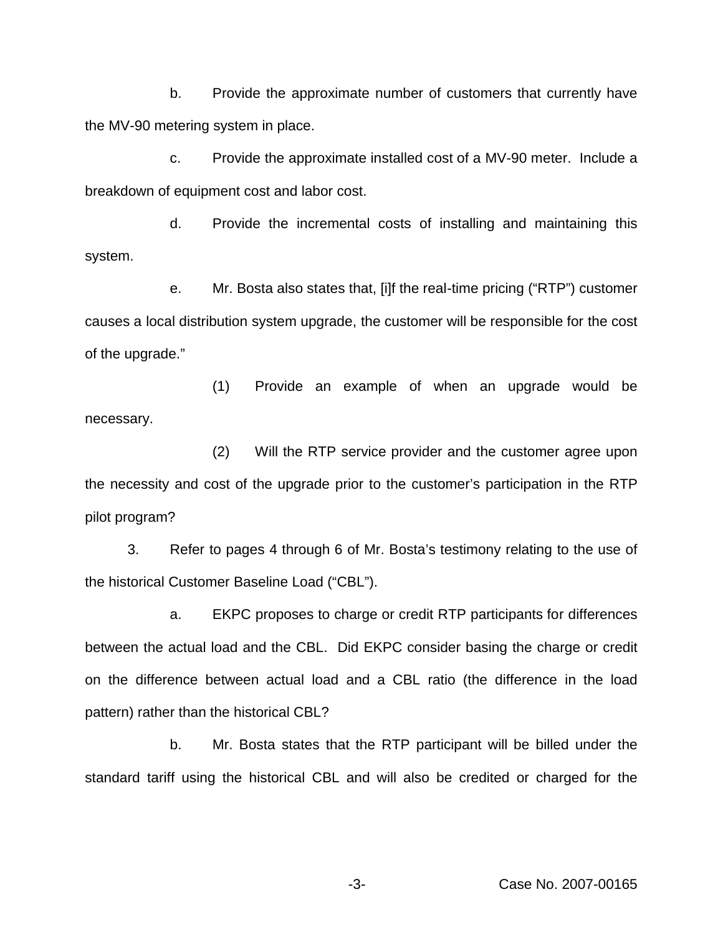b. Provide the approximate number of customers that currently have the MV-90 metering system in place.

c. Provide the approximate installed cost of a MV-90 meter. Include a breakdown of equipment cost and labor cost.

d. Provide the incremental costs of installing and maintaining this system.

e. Mr. Bosta also states that, [i]f the real-time pricing ("RTP") customer causes a local distribution system upgrade, the customer will be responsible for the cost of the upgrade."

(1) Provide an example of when an upgrade would be necessary.

(2) Will the RTP service provider and the customer agree upon the necessity and cost of the upgrade prior to the customer's participation in the RTP pilot program?

3. Refer to pages 4 through 6 of Mr. Bosta's testimony relating to the use of the historical Customer Baseline Load ("CBL").

a. EKPC proposes to charge or credit RTP participants for differences between the actual load and the CBL. Did EKPC consider basing the charge or credit on the difference between actual load and a CBL ratio (the difference in the load pattern) rather than the historical CBL?

b. Mr. Bosta states that the RTP participant will be billed under the standard tariff using the historical CBL and will also be credited or charged for the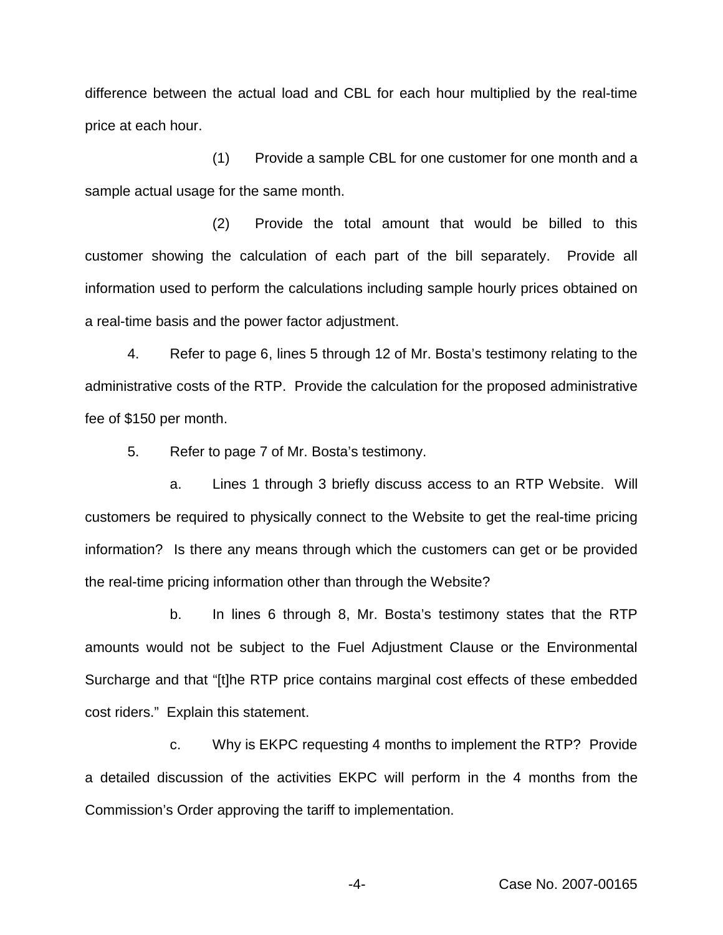difference between the actual load and CBL for each hour multiplied by the real-time price at each hour.

(1) Provide a sample CBL for one customer for one month and a sample actual usage for the same month.

(2) Provide the total amount that would be billed to this customer showing the calculation of each part of the bill separately. Provide all information used to perform the calculations including sample hourly prices obtained on a real-time basis and the power factor adjustment.

4. Refer to page 6, lines 5 through 12 of Mr. Bosta's testimony relating to the administrative costs of the RTP. Provide the calculation for the proposed administrative fee of \$150 per month.

5. Refer to page 7 of Mr. Bosta's testimony.

a. Lines 1 through 3 briefly discuss access to an RTP Website. Will customers be required to physically connect to the Website to get the real-time pricing information? Is there any means through which the customers can get or be provided the real-time pricing information other than through the Website?

b. In lines 6 through 8, Mr. Bosta's testimony states that the RTP amounts would not be subject to the Fuel Adjustment Clause or the Environmental Surcharge and that "[t]he RTP price contains marginal cost effects of these embedded cost riders." Explain this statement.

c. Why is EKPC requesting 4 months to implement the RTP? Provide a detailed discussion of the activities EKPC will perform in the 4 months from the Commission's Order approving the tariff to implementation.